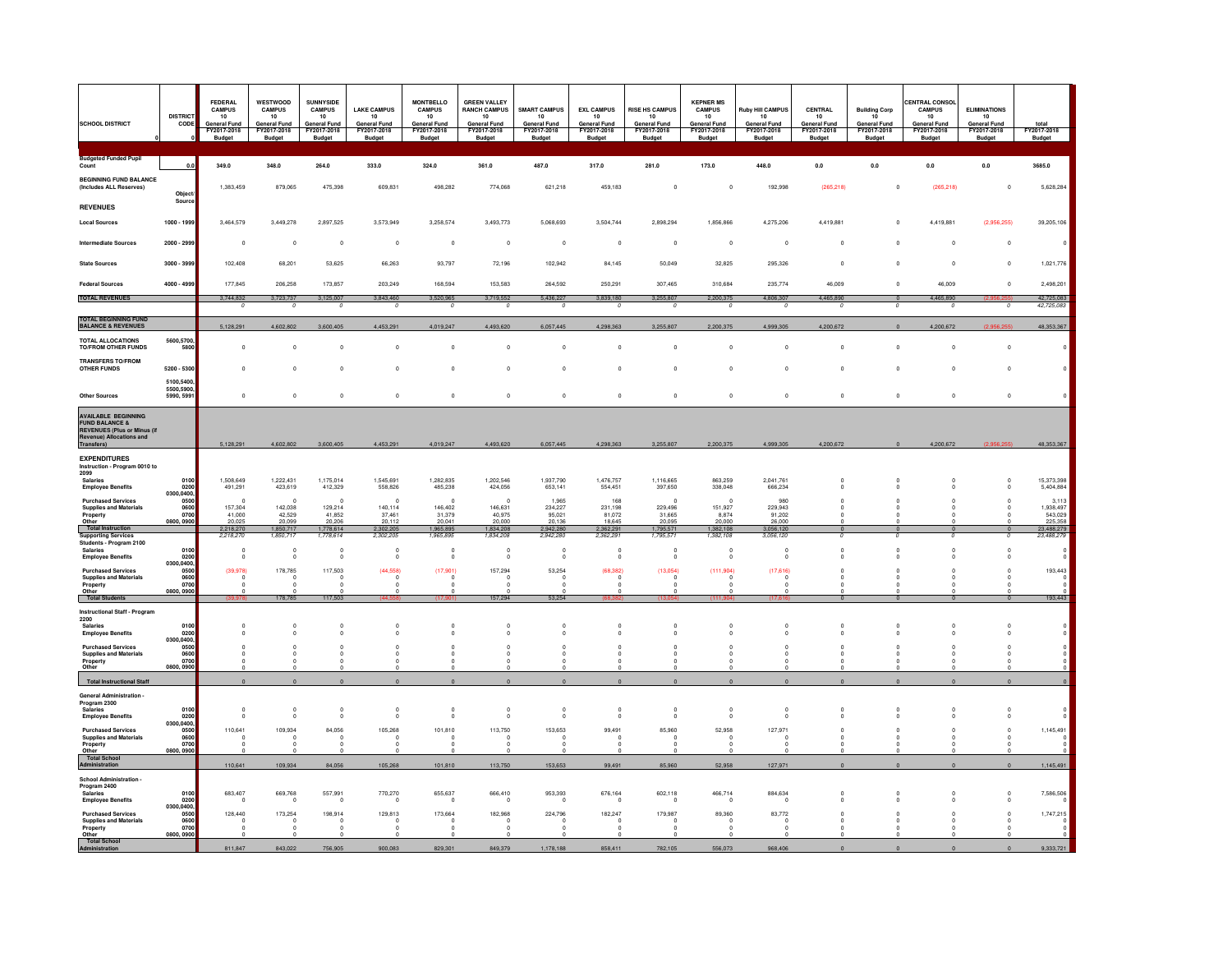| <b>SCHOOL DISTRICT</b>                                                                                                    | <b>DISTRICT</b><br>CODE                        | FEDERAL<br><b>CAMPUS</b><br>10<br>General Fund<br>FY2017-2018<br><b>Budget</b> | WESTWOOD<br><b>CAMPUS</b><br>10<br><b>General Fund</b><br>FY2017-2018<br><b>Budget</b> | SUNNYSIDE<br>CAMPUS<br>10<br>General Fund<br>FY2017-2018<br>Budget | <b>LAKE CAMPUS</b><br>10<br><b>General Fund</b><br>FY2017-2018<br><b>Budget</b> | <b>MONTBELLO</b><br><b>CAMPUS</b><br>10<br><b>General Fund</b><br>FY2017-2018<br><b>Budget</b> | <b>GREEN VALLEY</b><br><b>RANCH CAMPUS</b><br>10<br><b>General Fund</b><br>FY2017-2018<br>Budget | <b>SMART CAMPUS</b><br>10<br><b>General Fund</b><br>FY2017-2018<br><b>Budget</b> | <b>EXL CAMPUS</b><br>10<br><b>General Fund</b><br>FY2017-2018<br>Budget | <b>RISE HS CAMPUS</b><br>10<br><b>General Fund</b><br>FY2017-2018<br><b>Budget</b> | <b>KEPNER MS</b><br><b>CAMPUS</b><br>10<br>General Fund<br>FY2017-2018<br><b>Budget</b> | <b>Ruby Hill CAMPUS</b><br>10<br><b>General Fund</b><br>FY2017-2018<br><b>Budget</b> | <b>CENTRAL</b><br>10<br><b>General Fund</b><br>FY2017-2018<br><b>Budget</b> | <b>Building Corp</b><br>10<br><b>General Fund</b><br>FY2017-2018<br><b>Budget</b> | <b>CENTRAL CONSO</b><br><b>CAMPUS</b><br>10<br><b>General Fund</b><br>FY2017-2018<br><b>Budget</b> | <b>ELIMINATIONS</b><br>10<br><b>General Fund</b><br>FY2017-2018<br><b>Budget</b> | total<br>FY2017-2018<br>Budget   |
|---------------------------------------------------------------------------------------------------------------------------|------------------------------------------------|--------------------------------------------------------------------------------|----------------------------------------------------------------------------------------|--------------------------------------------------------------------|---------------------------------------------------------------------------------|------------------------------------------------------------------------------------------------|--------------------------------------------------------------------------------------------------|----------------------------------------------------------------------------------|-------------------------------------------------------------------------|------------------------------------------------------------------------------------|-----------------------------------------------------------------------------------------|--------------------------------------------------------------------------------------|-----------------------------------------------------------------------------|-----------------------------------------------------------------------------------|----------------------------------------------------------------------------------------------------|----------------------------------------------------------------------------------|----------------------------------|
| <b>Budgeted Funded Pupil</b><br>Count                                                                                     | 0.0                                            | 349.0                                                                          | 348.0                                                                                  | 264.0                                                              | 333.0                                                                           | 324.0                                                                                          | 361.0                                                                                            | 487.0                                                                            | 317.0                                                                   | 281.0                                                                              | 173.0                                                                                   | 448.0                                                                                | 0.0                                                                         | 0.0                                                                               | 0.0                                                                                                | 0.0                                                                              | 3685.0                           |
| <b>BEGINNING FUND BALANCE</b><br>(Includes ALL Reserves)                                                                  | Object                                         | 1,383,459                                                                      | 879,065                                                                                | 475,398                                                            | 609,831                                                                         | 498,282                                                                                        | 774,068                                                                                          | 621,218                                                                          | 459,183                                                                 | $\mathbf{0}$                                                                       | $\mathbf 0$                                                                             | 192,998                                                                              | (265, 218)                                                                  | $\mathbf{0}$                                                                      | (265, 218)                                                                                         | $\mathbf{0}$                                                                     | 5,628,284                        |
| <b>REVENUES</b>                                                                                                           | Sourc                                          |                                                                                |                                                                                        |                                                                    |                                                                                 |                                                                                                |                                                                                                  |                                                                                  |                                                                         |                                                                                    |                                                                                         |                                                                                      |                                                                             |                                                                                   |                                                                                                    |                                                                                  |                                  |
| <b>Local Sources</b>                                                                                                      | 1000 - 1999                                    | 3.464.579                                                                      | 3.449.278                                                                              | 2897525                                                            | 3,573,949                                                                       | 3 258 574                                                                                      | 3.493.773                                                                                        | 5.068.693                                                                        | 3 504 744                                                               | 2898294                                                                            | 1856866                                                                                 | 4 275 206                                                                            | 4419881                                                                     | $\sqrt{2}$                                                                        | 4419881                                                                                            | (2.956.255)                                                                      | 39,205.106                       |
| Intermediate Sources                                                                                                      | 2000 - 2999                                    | $\Omega$                                                                       | $\Omega$                                                                               | $\Omega$                                                           | $\Omega$                                                                        | $\Omega$                                                                                       | $\Omega$                                                                                         | $\Omega$                                                                         | $\Omega$                                                                | $\Omega$                                                                           | $\Omega$                                                                                | $\Omega$                                                                             | $\Omega$                                                                    |                                                                                   | $\Omega$                                                                                           | $\Omega$                                                                         |                                  |
| <b>State Sources</b>                                                                                                      | 3000 - 3999                                    | 102.408                                                                        | 68,201                                                                                 | 53,625                                                             | 66,263                                                                          | 93,797                                                                                         | 72,196                                                                                           | 102,942                                                                          | 84,145                                                                  | 50,049                                                                             | 32,825                                                                                  | 295.326                                                                              | $\overline{0}$                                                              | $\Omega$                                                                          | $\Omega$                                                                                           | $\circ$                                                                          | 1,021,776                        |
| <b>Federal Sources</b><br><b>TOTAL REVENUES</b>                                                                           | 4000 - 4999                                    | 177,845<br>.744.832                                                            | 206,258                                                                                | 173,857                                                            | 203,249                                                                         | 168,594                                                                                        | 153,583                                                                                          | 264.592<br>.436.22                                                               | 250,291<br>839.180                                                      | 307.465                                                                            | 310,684                                                                                 | 235,774                                                                              | 46,009                                                                      | $\mathbf 0$                                                                       | 46,009                                                                                             | $\circ$                                                                          | 2,498,201<br>42,725,083          |
|                                                                                                                           |                                                |                                                                                |                                                                                        |                                                                    |                                                                                 |                                                                                                |                                                                                                  |                                                                                  |                                                                         |                                                                                    |                                                                                         |                                                                                      |                                                                             |                                                                                   |                                                                                                    |                                                                                  | 42,725,08                        |
| <b>TOTAL BEGINNING FUND</b><br><b>BALANCE &amp; REVENUES</b>                                                              |                                                | 5,128,291                                                                      | 602.802                                                                                | 3.600.40                                                           | 4.453.291                                                                       | 4,019,247                                                                                      | 4,493,620                                                                                        | 6,057,445                                                                        | 4.298.363                                                               | 3.255.807                                                                          | 2,200,375                                                                               | 4.999.305                                                                            | 4.200.672                                                                   |                                                                                   | 1.200.672                                                                                          |                                                                                  | 48,353,367                       |
| TOTAL ALLOCATIONS<br><b>TO/FROM OTHER FUNDS</b>                                                                           | 5600,5700<br>5800                              | $^{\circ}$                                                                     | $\Omega$                                                                               |                                                                    | $\Omega$                                                                        | $\circ$                                                                                        | $\mathbf{0}$                                                                                     | $^{\circ}$                                                                       | $^{\circ}$                                                              | $^{\circ}$                                                                         | $\Omega$                                                                                | $^{\circ}$                                                                           | $\overline{0}$                                                              | $\overline{0}$                                                                    | $\Omega$                                                                                           | $\circ$                                                                          |                                  |
| <b>TRANSFERS TO/FROM</b><br><b>OTHER FUNDS</b>                                                                            | 5200 - 5300                                    | $\Omega$                                                                       | $\Omega$                                                                               |                                                                    |                                                                                 | $\circ$                                                                                        | $\Omega$                                                                                         | $\Omega$                                                                         | $\circ$                                                                 | $\Omega$                                                                           | $\Omega$                                                                                | $\Omega$                                                                             | $\mathbf{0}$                                                                | $\Omega$                                                                          | $\Omega$                                                                                           | $\mathbf 0$                                                                      |                                  |
| <b>Other Sources</b>                                                                                                      | 5100,5400<br>5500,5900,<br>5990, 5991          | $\mathbb O$                                                                    | $\,$ 0 $\,$                                                                            | $\,$ 0                                                             | $\mathbf{0}$                                                                    | $\mathsf{O}\xspace$                                                                            | $\,0\,$                                                                                          | $\mathbb O$                                                                      | $\mathbf 0$                                                             | $\pmb{0}$                                                                          | $\,0\,$                                                                                 | $\mathbb O$                                                                          | $\,0\,$                                                                     | $\,$ 0                                                                            | $\mathbb O$                                                                                        | $\mathbf 0$                                                                      |                                  |
| <b>AVAILABLE BEGINNING</b><br><b>FUND BALANCE &amp;</b><br><b>REVENUES (Plus or Minus (if</b><br>Revenue) Allocations and |                                                |                                                                                |                                                                                        |                                                                    |                                                                                 |                                                                                                |                                                                                                  |                                                                                  |                                                                         |                                                                                    |                                                                                         |                                                                                      |                                                                             |                                                                                   |                                                                                                    |                                                                                  |                                  |
| <b>Transfers)</b><br><b>EXPENDITURES</b>                                                                                  |                                                | 5,128,291                                                                      | 4,602,802                                                                              | 3,600,405                                                          | 4,453,291                                                                       | 4,019,247                                                                                      | 4,493,620                                                                                        | 6,057,445                                                                        | 4,298,363                                                               | 3,255,807                                                                          | 2,200,375                                                                               | 4,999,305                                                                            | 4,200,672                                                                   | $\mathbf{0}$                                                                      | 4,200,672                                                                                          | (2.956.255)                                                                      | 48,353,367                       |
| Instruction - Program 0010 to<br>2099<br><b>Salaries</b><br><b>Employee Benefits</b>                                      | 010<br>0200                                    | 1.508.649<br>491.291                                                           | 1,222,431<br>423.619                                                                   | 1.175.014<br>412,329                                               | 1.545.691<br>558 826                                                            | 1,282,835<br>485.238                                                                           | 1,202,546<br>424.056                                                                             | 1,937,790<br>653.141                                                             | 1.476.757<br>554.451                                                    | 1.116.665<br>397.650                                                               | 863,259<br>338 048                                                                      | 2.041.761<br>666,234                                                                 |                                                                             |                                                                                   |                                                                                                    |                                                                                  | 15,373,398<br>5,404,884          |
| <b>Purchased Services</b><br><b>Supplies and Materials</b>                                                                | 0300,0400<br>050<br>0600                       | $\Omega$<br>157,304                                                            | $\sim$<br>142.038                                                                      | 129,214                                                            | $\sim$<br>140.114                                                               | $\Omega$<br>146,402                                                                            | $\Omega$<br>146.631                                                                              | 1.965<br>234.227                                                                 | 168<br>231.198                                                          | $\Omega$<br>229,496                                                                | $\sim$<br>151,927                                                                       | gen<br>229.943                                                                       |                                                                             |                                                                                   |                                                                                                    | $\Omega$                                                                         | 3.113<br>1.938.497               |
| Property<br>Other<br>Total Instruction                                                                                    | 0700<br>0800, 0900                             | 41,000<br>20.025<br>2218270                                                    | 42,529<br>20.099<br>1850717                                                            | 41,852<br>20,206<br>1,778,614                                      | 37,461<br>20.112<br>2302205                                                     | 31,379<br>20.041<br>1965895                                                                    | 40,975<br>20,000<br>1834 208                                                                     | 95,021<br>20.136<br>2.942.280                                                    | 81,072<br>18.645<br>2 362 291                                           | 31,665<br>20,095<br>1 795 571                                                      | 8,874<br>20,000<br>1.382.108                                                            | 91,202<br>26,000<br>3 056 120                                                        | $\Omega$                                                                    |                                                                                   |                                                                                                    | $^{\circ}$                                                                       | 543,029<br>225,358<br>23,488,279 |
| <b>Supporting Services</b><br>Students - Program 2100<br><b>Salaries</b><br><b>Employee Benefits</b>                      | 0100<br>0200                                   | 2,218,270<br>$\circ$<br>$\Omega$                                               | 1.850.717<br>$\Omega$<br>$\sqrt{2}$                                                    | 1,778.614<br>$\Omega$<br>$\Omega$                                  | 2,302,205<br>$\Omega$<br>$\Omega$                                               | 1.965.895<br>$\circ$<br>$\Omega$                                                               | 1.834.208<br>$\Omega$<br>$\Omega$                                                                | 2,942,280<br>$^{\circ}$<br>$\Omega$                                              | 2,362,291<br>$\circ$<br>$\Omega$                                        | 1,795.57<br>$\Omega$<br>$\Omega$                                                   | 1,382,108<br>$^{\circ}$<br>$\Omega$                                                     | 3.056.120<br>$\Omega$<br>$\Omega$                                                    | $\Omega$<br>n                                                               | $\Omega$                                                                          |                                                                                                    | $\Omega$                                                                         | 23,488,279                       |
| <b>Purchased Services</b><br><b>Supplies and Materials</b>                                                                | 0300,0400,<br>0500<br>0600                     | (39, 978)<br>$\Omega$                                                          | 178,785                                                                                | 117,503                                                            | (44, 558)<br>$\Omega$                                                           | (17, 901)<br>$\Omega$                                                                          | 157,294<br>$\Omega$                                                                              | 53,254                                                                           | (68, 382)<br>$\Omega$                                                   | (13,054)<br>$\Omega$                                                               | (111, 904)<br>$\Omega$                                                                  | (17,616)<br>$\Omega$                                                                 |                                                                             |                                                                                   |                                                                                                    |                                                                                  | 193,443                          |
| Property<br>Other<br><b>Total Students</b>                                                                                | 0700<br>0800, 090                              | $\circ$                                                                        | 178,785                                                                                | 117503                                                             |                                                                                 | $^{\circ}$                                                                                     | 157,294                                                                                          | 53,254                                                                           | $^{\circ}$                                                              |                                                                                    |                                                                                         |                                                                                      |                                                                             |                                                                                   |                                                                                                    |                                                                                  | 193,443                          |
| <b>Instructional Staff - Program</b><br>2200                                                                              |                                                |                                                                                |                                                                                        |                                                                    |                                                                                 |                                                                                                |                                                                                                  |                                                                                  |                                                                         |                                                                                    |                                                                                         |                                                                                      |                                                                             |                                                                                   |                                                                                                    |                                                                                  |                                  |
| <b>Salaries</b><br><b>Employee Benefits</b>                                                                               | 0100<br>0200<br>0300.0400                      | $\Omega$<br>$^{\circ}$                                                         |                                                                                        |                                                                    |                                                                                 | $^{\circ}$<br>$^{\circ}$                                                                       | $\mathbf 0$                                                                                      | $\sim$                                                                           |                                                                         |                                                                                    |                                                                                         |                                                                                      | $\Omega$<br>0                                                               | $\Omega$                                                                          |                                                                                                    |                                                                                  |                                  |
| <b>Purchased Services</b><br><b>Supplies and Materials</b><br>Property<br>Other                                           | 0500<br>0600<br>0700<br>0800, 090              | $\Omega$<br>$\Omega$                                                           |                                                                                        |                                                                    |                                                                                 | $\Omega$<br>$\mathfrak{c}$<br>$\Omega$                                                         |                                                                                                  |                                                                                  | $\Omega$                                                                |                                                                                    |                                                                                         |                                                                                      |                                                                             |                                                                                   |                                                                                                    |                                                                                  |                                  |
| <b>Total Instructional Staff</b>                                                                                          |                                                | $\circ$                                                                        | $\overline{0}$                                                                         |                                                                    |                                                                                 | $\mathbf{0}$                                                                                   | $\mathbf{0}$                                                                                     | $\,$ 0 $\,$                                                                      | $\Omega$                                                                |                                                                                    |                                                                                         |                                                                                      | $\overline{0}$                                                              | $\Omega$                                                                          |                                                                                                    |                                                                                  |                                  |
| <b>General Administration</b><br>Program 2300<br><b>Salaries</b>                                                          | 0100                                           | $\circ$                                                                        | $\circ$                                                                                |                                                                    |                                                                                 | $\circ$                                                                                        | $\Omega$                                                                                         | $\mathbf 0$                                                                      | $\circ$                                                                 |                                                                                    | $\circ$                                                                                 |                                                                                      |                                                                             |                                                                                   |                                                                                                    |                                                                                  |                                  |
| <b>Employee Benefits</b><br><b>Purchased Services</b>                                                                     | 0200<br>0300.0400.<br>0500                     | $\Omega$<br>110,641                                                            | 109,934                                                                                | $\Omega$<br>84,056                                                 | $\Omega$<br>105,268                                                             | $\Omega$<br>101,810                                                                            | n<br>113,750                                                                                     | $\Omega$<br>153,653                                                              | $\Omega$<br>99,491                                                      | $\Omega$<br>85,960                                                                 | $\Omega$<br>52,958                                                                      | 127,971                                                                              |                                                                             |                                                                                   |                                                                                                    |                                                                                  | 1,145,491                        |
| <b>Supplies and Materials</b><br>Property<br>Othe                                                                         | 0600<br>0700<br>0800, 0900                     | $\Omega$                                                                       |                                                                                        |                                                                    |                                                                                 | $\Omega$<br>$^{\circ}$                                                                         |                                                                                                  |                                                                                  | $\Omega$                                                                |                                                                                    | $\Omega$                                                                                |                                                                                      | n                                                                           |                                                                                   |                                                                                                    | $\Omega$                                                                         |                                  |
| <b>Total School</b><br>dministration                                                                                      |                                                | 110,641                                                                        | 109,934                                                                                | 84,056                                                             | 105,268                                                                         | 101.810                                                                                        | 113,750                                                                                          | 153,653                                                                          | 99.491                                                                  | 85,960                                                                             | 52,958                                                                                  | 127,971                                                                              | $\mathbf{0}$                                                                | $\Omega$                                                                          |                                                                                                    | $\Omega$                                                                         | 1,145,491                        |
| <b>School Administration</b><br>Program 2400<br><b>Salaries</b><br><b>Employee Benefits</b>                               | 0100<br>0200                                   | 683,407<br>$^{\circ}$                                                          | 669,768                                                                                | 557.991                                                            | 770.270                                                                         | 655.637<br>$^{\circ}$                                                                          | 666.410                                                                                          | 953,393                                                                          | 676,164<br>- 0                                                          | 602.118                                                                            | 466,714<br>$^{\circ}$                                                                   | 884,634<br>0                                                                         |                                                                             |                                                                                   |                                                                                                    |                                                                                  | 7,586,506                        |
| <b>Purchased Services</b><br><b>Supplies and Materials</b><br>Property<br>Other                                           | 0300.0400<br>0500<br>0600<br>0700<br>0800.0900 | 128,440<br>$\Omega$                                                            | 173,254                                                                                | 198,914                                                            | 129,813                                                                         | 173,664<br>c<br>$\Omega$                                                                       | 182,968                                                                                          | 224 796                                                                          | 182,247<br>-0<br>$\Omega$                                               | 179,987                                                                            | 89,360<br>$\Omega$                                                                      | 83,772                                                                               | $\Omega$                                                                    |                                                                                   |                                                                                                    |                                                                                  | 1,747,215                        |
| <b>Total School</b><br>Administration                                                                                     |                                                | 811,847                                                                        | 843,022                                                                                | 756,905                                                            | 900.083                                                                         | 829,301                                                                                        | 849,379                                                                                          | 1.178.188                                                                        | 858,411                                                                 | 782,105                                                                            | 556,073                                                                                 | 968,406                                                                              | $\overline{a}$                                                              |                                                                                   |                                                                                                    | $\Omega$                                                                         | 9,333,721                        |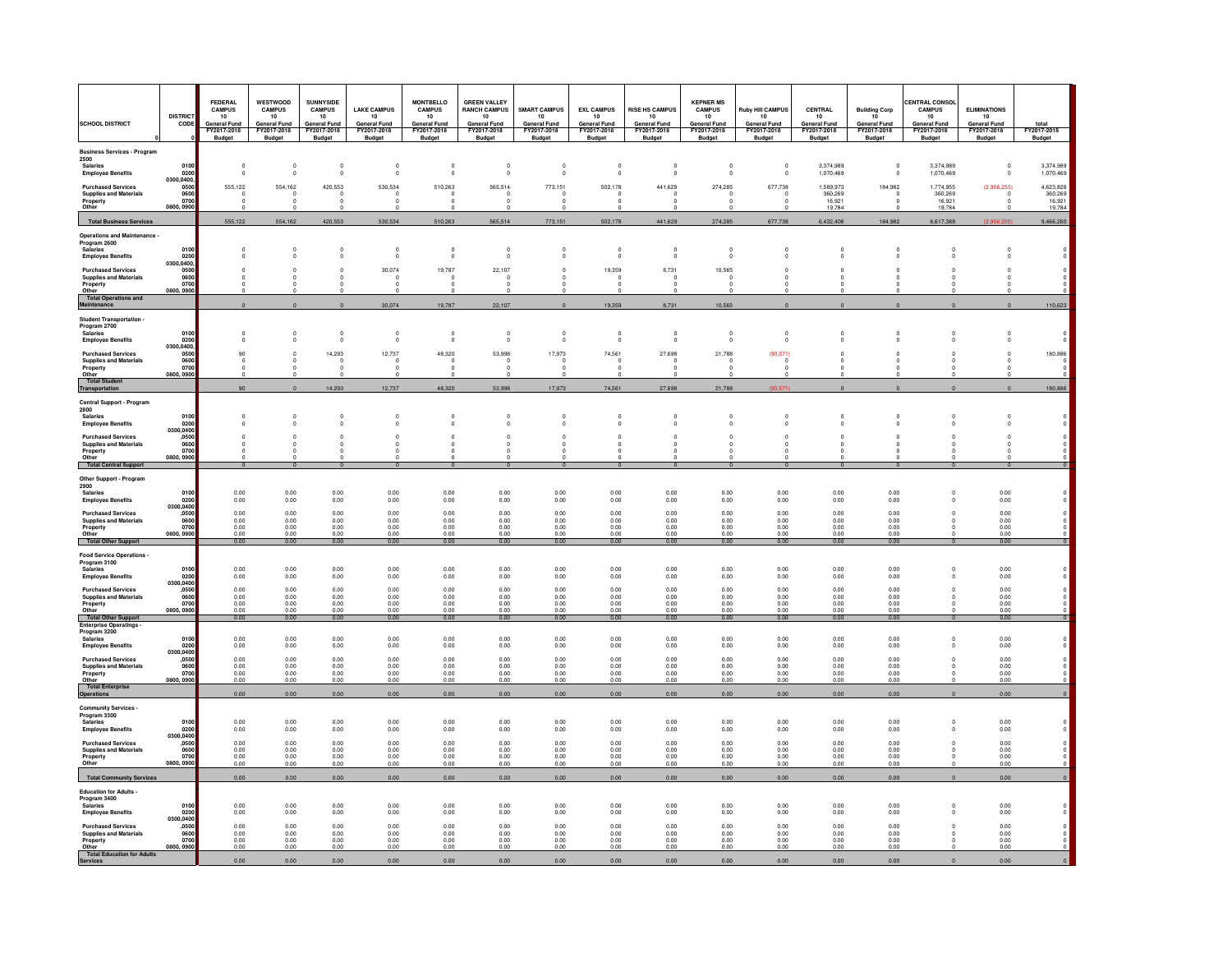| <b>SCHOOL DISTRICT</b>                                                                      | <b>DISTRICT</b><br>CODE                         | <b>FEDERAL</b><br><b>CAMPUS</b><br>10<br><b>General Fund</b> | WESTWOOD<br><b>CAMPUS</b><br>10<br><b>General Fund</b> | <b>SUNNYSIDE</b><br><b>CAMPUS</b><br>$10\,$<br><b>General Fund</b> | <b>LAKE CAMPUS</b><br>$10\,$<br><b>General Fund</b> | <b>MONTBELLO</b><br><b>CAMPUS</b><br>10<br><b>General Fund</b> | <b>GREEN VALLEY</b><br><b>RANCH CAMPUS</b><br>10<br><b>General Fund</b> | <b>SMART CAMPUS</b><br>10<br><b>General Fund</b> | <b>EXL CAMPUS</b><br>10<br><b>General Fund</b> | <b>RISE HS CAMPUS</b><br>10<br><b>General Fund</b> | <b>KEPNER MS</b><br><b>CAMPUS</b><br>10<br><b>General Fund</b> | <b>Ruby Hill CAMPUS</b><br>$10\,$<br><b>General Fund</b> | CENTRAL<br>10<br><b>General Fund</b> | <b>Building Corp</b><br>10 <sup>2</sup><br><b>General Fund</b> | CENTRAL CONSOL<br><b>CAMPUS</b><br>10<br><b>General Fund</b> | <b>ELIMINATIONS</b><br>10<br><b>General Fund</b> | total                        |
|---------------------------------------------------------------------------------------------|-------------------------------------------------|--------------------------------------------------------------|--------------------------------------------------------|--------------------------------------------------------------------|-----------------------------------------------------|----------------------------------------------------------------|-------------------------------------------------------------------------|--------------------------------------------------|------------------------------------------------|----------------------------------------------------|----------------------------------------------------------------|----------------------------------------------------------|--------------------------------------|----------------------------------------------------------------|--------------------------------------------------------------|--------------------------------------------------|------------------------------|
|                                                                                             |                                                 | FY2017-2018<br><b>Budget</b>                                 | FY2017-2018<br><b>Budget</b>                           | FY2017-2018<br>Budget                                              | FY2017-2018<br><b>Budget</b>                        | FY2017-2018<br><b>Budget</b>                                   | FY2017-2018<br><b>Budget</b>                                            | FY2017-2018<br><b>Budget</b>                     | FY2017-2018<br><b>Budget</b>                   | FY2017-2018<br><b>Budget</b>                       | FY2017-2018<br>Budget                                          | FY2017-2018<br><b>Budget</b>                             | FY2017-2018<br><b>Budget</b>         | FY2017-2018<br><b>Budget</b>                                   | FY2017-2018<br><b>Budget</b>                                 | FY2017-2018<br><b>Budget</b>                     | FY2017-2018<br><b>Budget</b> |
| <b>Business Services - Program</b><br>2500<br><b>Salaries</b><br><b>Employee Benefits</b>   | 0100<br>0200                                    | $\mathbf 0$<br>$\Omega$                                      | $\,$ 0<br>$\circ$                                      | $\mathbf 0$<br>$\mathbf{0}$                                        | $\mathbf{0}$<br>$\Omega$                            | $\bar{0}$                                                      | -C                                                                      | $\begin{smallmatrix}0\\0\\0\end{smallmatrix}$    | $\mathbf 0$<br>$\Omega$                        |                                                    | $_{0}^{0}$                                                     | $\mathbf 0$<br>$\Omega$                                  | 3,374,989<br>1.070.469               | $\Omega$                                                       | 3,374,989<br>1.070.469                                       |                                                  | 3,374,989<br>1.070.469       |
| <b>Purchased Services</b><br><b>Supplies and Materials</b><br>Property                      | 0300.0400<br>0500<br>0600<br>0700               | 555,122                                                      | 554,162<br>$^{\circ}$                                  | 420,553<br>$^{\circ}$                                              | 530,534                                             | 510,263<br>$\Omega$                                            | 565,514<br>$\Omega$                                                     | 773,151<br>$^{\circ}$                            | 502,178                                        | 441,629                                            | 274.285<br>$\Omega$                                            | 677,738<br>$\Omega$                                      | 1.589.973<br>360,269<br>16,921       | 184,982                                                        | 1.774.955<br>360,269<br>16,921                               | (2.956.255)                                      | 4.623.828<br>360,269         |
| Other                                                                                       | 0800, 090                                       |                                                              | - 0<br>$\Omega$                                        |                                                                    |                                                     |                                                                |                                                                         | o<br>$\Omega$                                    |                                                |                                                    | 0                                                              | 0                                                        | 19784                                |                                                                | 19784                                                        |                                                  | $16,921$<br>$19,784$         |
| <b>Total Business Services</b>                                                              |                                                 | 555,122                                                      | 554,162                                                | 420,553                                                            | 530,534                                             | 510,263                                                        | 565,514                                                                 | 773,151                                          | 502,178                                        | 441,629                                            | 274,285                                                        | 677,738                                                  | 6,432,406                            | 184,982                                                        | 6,617,388                                                    | (2.956.25)                                       | 9,466,260                    |
| <b>Operations and Maintenance -</b><br>Program 2600<br>Salaries<br><b>Employee Benefits</b> | 0100<br>0200                                    | $\Omega$                                                     | $\overline{0}$<br>$^{\circ}$                           | $\circ$<br>$\Omega$                                                | $\bf{0}$<br>$\Omega$                                | $\,0\,$<br>$\Omega$                                            | $\circ$<br>$\Omega$                                                     | $\circ$<br>$^{\circ}$                            | $\circ$<br>$\Omega$                            | $\mathbf{0}$<br>- 0                                | $\pmb{0}$<br>$\Omega$                                          | $\Omega$                                                 | $\Omega$                             |                                                                | $\mathfrak{c}$<br>$\Omega$                                   |                                                  |                              |
| <b>Purchased Services</b><br><b>Supplies and Materials</b>                                  | 0300,0400<br>0500<br>0600                       | $\Omega$                                                     | $\Omega$<br>$^{\circ}$                                 | $\Omega$<br>$\Omega$                                               | 30,074                                              | 19,787<br>$^{\circ}$                                           | 22,107<br>$^{\circ}$                                                    | $\mathbf{0}$<br>$^{\circ}$                       | 19,359<br>$\Omega$                             | 8,731                                              | 10,565<br>$^{\circ}$                                           | $\Omega$                                                 | $\Omega$                             |                                                                | $\Omega$<br>$\Omega$                                         |                                                  |                              |
| Property<br>Other<br><b>Total Operations and</b>                                            | 0700<br>0800, 0900                              |                                                              | $\Omega$                                               |                                                                    |                                                     |                                                                |                                                                         | $^{\circ}$<br>$\Omega$                           |                                                |                                                    |                                                                |                                                          |                                      |                                                                |                                                              |                                                  |                              |
| Maintenance                                                                                 |                                                 | $\mathbf 0$                                                  | $\circ$                                                | $\mathbf{0}$                                                       | 30,074                                              | 19,787                                                         | 22,107                                                                  | $\circ$                                          | 19,359                                         | 8,731                                              | 10,565                                                         |                                                          |                                      | $\Omega$                                                       | $\overline{0}$                                               |                                                  | 110,623                      |
| <b>Student Transportation</b><br>Program 2700<br>Salaries<br><b>Employee Benefits</b>       | 0100<br>0200                                    | $\Omega$<br>$\Omega$                                         | $\overline{0}$<br>$\mathbf 0$                          | $\circ$<br>$\Omega$                                                | $\mathbf{0}$<br>$\Omega$                            | $\,0\,$<br>$\Omega$                                            | $\mathbf{0}$<br>$\Omega$                                                | $\mathbf 0$<br>$\Omega$                          | $\circ$<br>$\Omega$                            | $\mathbf{0}$<br>- 0                                | $\circ$<br>$\Omega$                                            | $\circ$<br>$\Omega$                                      | $\Omega$                             | $\Omega$                                                       | $\mathbf 0$<br>$\Omega$                                      |                                                  |                              |
| <b>Purchased Services</b><br><b>Supplies and Materials</b>                                  | 0300,0400<br>0500<br>0600                       | 90                                                           | $\Omega$<br>$\Omega$                                   | 14,293<br>$\mathbf{0}$                                             | 12,737<br>$\Omega$                                  | 48,320<br>$^{\circ}$                                           | 53,998<br>- 0                                                           | 17,973<br>- 0                                    | 74,561<br>$\Omega$                             | 27,698                                             | 21,788<br>$\Omega$                                             | (90.571)<br>$\Omega$                                     | $\Omega$                             |                                                                | $\Omega$<br>$\Omega$                                         |                                                  | 180,886                      |
| Property<br>Other<br><b>Total Student</b>                                                   | 0700<br>0800, 090                               |                                                              | $\Omega$                                               |                                                                    |                                                     |                                                                |                                                                         | O                                                |                                                |                                                    |                                                                |                                                          |                                      |                                                                |                                                              |                                                  |                              |
| Transportation                                                                              |                                                 | 90                                                           | $\circ$                                                | 14,293                                                             | 12,737                                              | 48,320                                                         | 53,998                                                                  | 17,973                                           | 74,561                                         | 27,698                                             | 21,788                                                         | (90, 571)                                                | $\Omega$                             | $\Omega$                                                       | $\Omega$                                                     | $\Omega$                                         | 180,886                      |
| Central Support - Program<br>2800<br>Salaries<br><b>Employee Benefits</b>                   | 0100<br>0200<br>0300,0400                       | $\Omega$                                                     | $\Omega$<br>$^{\circ}$                                 | $\Omega$<br>$\mathbf 0$                                            | Ò<br>0                                              | $\circ$<br>$\mathbf{0}$                                        | $\Omega$<br>$^{\circ}$                                                  | $\overline{0}$<br>$^{\circ}$                     | $\Omega$<br>$\circ$                            |                                                    | $\mathbf{0}$<br>$^{\circ}$                                     | $\Omega$<br>$\circ$                                      | $^{\circ}$                           | $\Omega$                                                       | $\Omega$<br>$\mathbf 0$                                      | $\Omega$                                         |                              |
| <b>Purchased Services</b><br><b>Supplies and Materials</b><br>Property<br>Other             | .0500<br>0600<br>0700<br>0800, 090              | $\Omega$                                                     | $\Omega$<br>$\Omega$                                   | $\Omega$<br>$\Omega$                                               | $\Omega$                                            | $\Omega$<br>$^{\circ}$                                         | $\Omega$<br>$\Omega$                                                    | $\Omega$<br>$\Omega$                             | $\Omega$                                       |                                                    | $\Omega$<br>$\Omega$                                           | $\Omega$<br>Ω                                            | $\Omega$                             | $\sim$                                                         | $\Omega$<br>$\Omega$                                         |                                                  |                              |
| <b>Total Central Support</b>                                                                |                                                 | $\Omega$                                                     | $\overline{0}$                                         | $\Omega$                                                           | $\Omega$                                            | $\Omega$                                                       | $\Omega$                                                                | $\overline{0}$                                   | $\Omega$                                       |                                                    | $\Omega$                                                       |                                                          | $\Omega$                             | $\Omega$                                                       | $\Omega$                                                     | $\Omega$                                         |                              |
| Other Support - Program<br>2900<br><b>Salaries</b><br><b>Employee Benefits</b>              | 0100<br>0200                                    | 0.00<br>0.00                                                 | 0.00<br>0.00                                           | 0.00<br>0.00                                                       | 0.00<br>0.00                                        | 0.00<br>0.00                                                   | 0.00<br>0.00                                                            | 0.00<br>0.00                                     | 0.00<br>0.00                                   | 0.00<br>0.00                                       | 0.00<br>0.00                                                   | 0.00<br>0.00                                             | 0.00<br>0.00                         | 0.00<br>0.00                                                   | $\mathfrak{c}$<br>$\circ$                                    | 0.00<br>0.00                                     |                              |
| <b>Purchased Services</b><br><b>Supplies and Materials</b><br>Property<br>Other             | 0300,0400<br>,0500<br>0600<br>070<br>0800, 0900 | 0.00<br>0.00<br>0.00<br>0.00                                 | 0.00<br>0.00<br>0.00<br>0.00                           | 0.00<br>0.00<br>0.00<br>0.00                                       | 0.00<br>0.00<br>0.00<br>0.00                        | 0.00<br>0.00<br>0.00<br>0.00                                   | 0.00<br>0.00<br>0.00<br>0.00                                            | 0.00<br>0.00<br>0.00<br>0.00                     | 0.00<br>0.00<br>0.00<br>0.00                   | 0.00<br>0.00<br>0.00<br>0.00                       | 0.00<br>0.00<br>0.00<br>0.00                                   | 0.00<br>0.00<br>0.00<br>0.00                             | 0.00<br>0.00<br>0.00<br>0.00         | 0.00<br>0.00<br>0.00<br>0.00                                   | $\mathbf{0}$<br>$\Omega$<br>$\circ$                          | 0.00<br>0.00<br>0.00<br>0.00                     |                              |
| Total Other Support                                                                         |                                                 | 0.00                                                         | 0.00                                                   | 0.00                                                               | 0.00                                                | 0.00                                                           | 0.00                                                                    | 0.00                                             | 0.00                                           | 0.00                                               | 0.00                                                           | 0.00                                                     | 0.00                                 | 0.00                                                           | $\Omega$                                                     | 0.00                                             |                              |
| Food Service Operations -<br>Program 3100<br><b>Salaries</b><br><b>Employee Benefits</b>    | 0100<br>$0200$<br>0300,0400                     | 0.00<br>0.00                                                 | 0.00<br>0.00                                           | 0.00<br>$_{0.00}$                                                  | 0.00<br>0.00                                        | 0.00<br>0.00                                                   | 0.00<br>0.00                                                            | 0.00<br>0.00                                     | 0.00<br>0.00                                   | 0.00<br>0.00                                       | 0.00<br>0.00                                                   | 0.00<br>0.00                                             | 0.00<br>0.00                         | 0.00<br>0.00                                                   | $\circ$<br>$\ddot{\text{o}}$                                 | 0.00<br>0.00                                     |                              |
| <b>Purchased Services</b><br><b>Supplies and Materials</b><br>Property<br>Other             | ,0500<br>0600<br>0700<br>0800, 0900             | 0.00<br>0.00<br>0.00<br>0.00                                 | 0.00<br>0.00<br>0.00<br>0.00                           | 0.00<br>0.00<br>0.00<br>000                                        | 0.00<br>0.00<br>0.00<br>o oo                        | 0.00<br>0.00<br>0.00<br>0.00                                   | 0.00<br>0.00<br>0.00<br>000                                             | 0.00<br>0.00<br>0.00<br>0.00                     | 0.00<br>0.00<br>0.00<br>0.00                   | 0.00<br>0.00<br>0.00<br>0.00                       | 0.00<br>0.00<br>0.00<br>$\overline{0.00}$                      | 0.00<br>0.00<br>0.00                                     | 0.00<br>0.00<br>0.00                 | 0.00<br>0.00<br>0.00                                           | $\circ$<br>$\mathbf 0$<br>$\Omega$                           | 0.00<br>0.00<br>0.00                             |                              |
| Total Other Support<br><b>Enterprise Operatings -</b>                                       |                                                 | 0.00                                                         | 0.00                                                   | 0.00                                                               | 0.00                                                | 0.00                                                           | 0.00                                                                    | 0.00                                             | 0.00                                           | 0.00                                               | 0.00                                                           | 0.00                                                     | 0.00                                 | 0.00                                                           |                                                              | 0.00                                             |                              |
| Program 3200<br><b>Salaries</b><br><b>Employee Benefits</b>                                 | 0100<br>0200<br>0300,0400                       | 0.00<br>0.00                                                 | 0.00<br>0.00                                           | 0.00<br>0.00                                                       | 0.00<br>0.00                                        | 0.00<br>0.00                                                   | 0.00<br>0.00                                                            | 0.00<br>0.00                                     | 0.00<br>0.00                                   | 0.00<br>0.00                                       | 0.00<br>0.00                                                   | 0.00<br>0.00                                             | 0.00<br>0.00                         | 0.00<br>0.00                                                   | $\mathbf 0$<br>$\circ$                                       | 0.00<br>0.00                                     |                              |
| <b>Purchased Services</b><br><b>Supplies and Materials</b><br>Property<br>Other             | .0500<br>0600<br>0700<br>0800, 0900             | 0.00<br>0.00<br>0.00<br>0.00                                 | 0.00<br>0.00<br>0.00<br>0.00                           | 0.00<br>0.00<br>0.00<br>0.00                                       | 0.00<br>0.00<br>0.00<br>0.00                        | 0.00<br>0.00<br>0.00<br>0.00                                   | 0.00<br>0.00<br>0.00<br>0.00                                            | 0.00<br>0.00<br>0.00<br>0.00                     | 0.00<br>0.00<br>0.00<br>0.00                   | 0.00<br>0.00<br>0.00<br>0.00                       | 0.00<br>0.00<br>0.00<br>0.00                                   | 0.00<br>0.00<br>0.00<br>0.00                             | 0.00<br>0.00<br>0.00<br>0.00         | 0.00<br>0.00<br>0.00<br>0.00                                   | $\Delta$<br>$\Omega$<br>$^{\circ}$<br>$\Omega$               | 0.00<br>0.00<br>0.00<br>0.00                     |                              |
| <b>Total Enterprise</b><br><b>Operations</b>                                                |                                                 | 0.00                                                         | 0.00                                                   | 0.00                                                               | 0.00                                                | 0.00                                                           | 0.00                                                                    | 0.00                                             | 0.00                                           | 0.00                                               | 0.00                                                           | 0.00                                                     | 0.00                                 | 0.00                                                           |                                                              | 0.00                                             |                              |
| <b>Community Services -</b><br>Program 3300                                                 |                                                 |                                                              |                                                        |                                                                    |                                                     |                                                                |                                                                         |                                                  |                                                |                                                    |                                                                |                                                          |                                      |                                                                |                                                              |                                                  |                              |
| <b>Salaries</b><br><b>Employee Benefits</b>                                                 | 0100<br>0200<br>0300,0400                       | 0.00<br>0.00                                                 | 0.00<br>0.00                                           | 0.00<br>0.00                                                       | 0.00<br>0.00                                        | 0.00<br>0.00                                                   | 0.00<br>0.00                                                            | 0.00<br>0.00                                     | 0.00<br>0.00                                   | 0.00<br>0.00                                       | 0.00<br>0.00                                                   | 0.00<br>0.00                                             | 0.00<br>0.00                         | 0.00<br>0.00                                                   | $\mathfrak{c}$<br>$\circ$                                    | 0.00<br>0.00                                     |                              |
| <b>Purchased Services</b><br><b>Supplies and Materials</b><br>Property<br>Other             | ,0500<br>0600<br>0700<br>0800, 0900             | 0.00<br>0.00<br>0.00<br>0.00                                 | 0.00<br>0.00<br>0.00<br>0.00                           | 0.00<br>0.00<br>0.00<br>0.00                                       | 0.00<br>0.00<br>0.00<br>0.00                        | 0.00<br>0.00<br>0.00<br>0.00                                   | 0.00<br>0.00<br>0.00<br>0.00                                            | 0.00<br>0.00<br>0.00<br>0.00                     | 0.00<br>0.00<br>0.00<br>0.00                   | 0.00<br>0.00<br>0.00<br>0.00                       | 0.00<br>0.00<br>0.00<br>0.00                                   | 0.00<br>0.00<br>0.00<br>0.00                             | 0.00<br>0.00<br>0.00<br>0.00         | 0.00<br>0.00<br>0.00<br>0.00                                   | $\Omega$<br>$\Omega$<br>$^{\circ}$                           | 0.00<br>0.00<br>0.00<br>0.00                     |                              |
| <b>Total Community Services</b>                                                             |                                                 | 0.00                                                         | 0.00                                                   | 0.00                                                               | 0.00                                                | 0.00                                                           | 0.00                                                                    | 0.00                                             | 0.00                                           | 0.00                                               | 0.00                                                           | 0.00                                                     | 0.00                                 | 0.00                                                           | $\mathbf{0}$                                                 | 0.00                                             |                              |
| <b>Education for Adults</b><br>Program 3400<br><b>Salaries</b><br><b>Employee Benefits</b>  | 0100<br>0200                                    | 0.00<br>0.00                                                 | 0.00<br>0.00                                           | 0.00<br>0.00                                                       | 0.00<br>0.00                                        | 0.00<br>0.00                                                   | 0.00<br>0.00                                                            | 0.00<br>0.00                                     | 0.00<br>0.00                                   | 0.00<br>0.00                                       | 0.00<br>0.00                                                   | 0.00<br>0.00                                             | 0.00<br>0.00                         | 0.00<br>0.00                                                   | $\mathbf 0$<br>$\circ$                                       | 0.00<br>0.00                                     |                              |
| <b>Purchased Services</b><br><b>Supplies and Materials</b><br>Property<br>Other             | 0300,0400<br>,0500<br>0600<br>070<br>0800.0900  | 0.00<br>0.00<br>0.00<br>0.00                                 | 0.00<br>0.00<br>0.00<br>0.00                           | 0.00<br>0.00<br>0.00<br>0.00                                       | 0.00<br>0.00<br>0.00<br>0.00                        | 0.00<br>0.00<br>0.00<br>0.00                                   | 0.00<br>0.00<br>0.00<br>0.00                                            | 0.00<br>0.00<br>0.00<br>0.00                     | 0.00<br>0.00<br>0.00<br>0.00                   | 0.00<br>0.00<br>0.00<br>0.00                       | 0.00<br>0.00<br>0.00<br>0.00                                   | 0.00<br>0.00<br>0.00<br>0.00                             | 0.00<br>0.00<br>0.00<br>0.00         | 0.00<br>0.00<br>0.00<br>0.00                                   | $\Omega$<br>$\Omega$<br>0                                    | 0.00<br>0.00<br>0.00<br>0.00                     |                              |
| Total Education for Adults<br>Services                                                      |                                                 | 0.00                                                         | 0.00                                                   | 0.00                                                               | 0.00                                                | 0.00                                                           | 0.00                                                                    | 0.00                                             | 0.00                                           | 0.00                                               | 0.00                                                           | 0.00                                                     | 0.00                                 | 0.00                                                           | $\mathbf{0}$                                                 | 0.00                                             |                              |